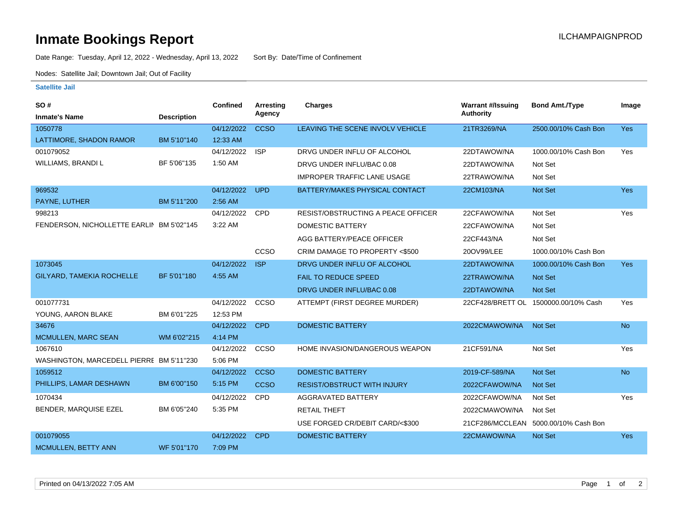## **Inmate Bookings Report International Contract Contract Contract Contract Contract Contract Contract Contract Contract Contract Contract Contract Contract Contract Contract Contract Contract Contract Contract Contract Co**

Date Range: Tuesday, April 12, 2022 - Wednesday, April 13, 2022 Sort By: Date/Time of Confinement

Nodes: Satellite Jail; Downtown Jail; Out of Facility

## **Satellite Jail**

| SO#                                       |                    | <b>Confined</b> | Arresting   | <b>Charges</b>                     | <b>Warrant #/Issuing</b> | <b>Bond Amt./Type</b>                | Image      |
|-------------------------------------------|--------------------|-----------------|-------------|------------------------------------|--------------------------|--------------------------------------|------------|
| <b>Inmate's Name</b>                      | <b>Description</b> |                 | Agency      |                                    | <b>Authority</b>         |                                      |            |
| 1050778                                   |                    | 04/12/2022      | <b>CCSO</b> | LEAVING THE SCENE INVOLV VEHICLE   | 21TR3269/NA              | 2500.00/10% Cash Bon                 | Yes        |
| LATTIMORE, SHADON RAMOR                   | BM 5'10"140        | 12:33 AM        |             |                                    |                          |                                      |            |
| 001079052                                 |                    | 04/12/2022      | <b>ISP</b>  | DRVG UNDER INFLU OF ALCOHOL        | 22DTAWOW/NA              | 1000.00/10% Cash Bon                 | Yes        |
| WILLIAMS, BRANDI L                        | BF 5'06"135        | 1:50 AM         |             | DRVG UNDER INFLU/BAC 0.08          | 22DTAWOW/NA              | Not Set                              |            |
|                                           |                    |                 |             | <b>IMPROPER TRAFFIC LANE USAGE</b> | 22TRAWOW/NA              | Not Set                              |            |
| 969532                                    |                    | 04/12/2022      | <b>UPD</b>  | BATTERY/MAKES PHYSICAL CONTACT     | 22CM103/NA               | Not Set                              | <b>Yes</b> |
| PAYNE, LUTHER                             | BM 5'11"200        | 2:56 AM         |             |                                    |                          |                                      |            |
| 998213                                    |                    | 04/12/2022      | <b>CPD</b>  | RESIST/OBSTRUCTING A PEACE OFFICER | 22CFAWOW/NA              | Not Set                              | Yes        |
| FENDERSON, NICHOLLETTE EARLIN BM 5'02"145 |                    | 3:22 AM         |             | <b>DOMESTIC BATTERY</b>            | 22CFAWOW/NA              | Not Set                              |            |
|                                           |                    |                 |             | AGG BATTERY/PEACE OFFICER          | 22CF443/NA               | Not Set                              |            |
|                                           |                    |                 | CCSO        | CRIM DAMAGE TO PROPERTY <\$500     | 20OV99/LEE               | 1000.00/10% Cash Bon                 |            |
| 1073045                                   |                    | 04/12/2022      | <b>ISP</b>  | DRVG UNDER INFLU OF ALCOHOL        | 22DTAWOW/NA              | 1000.00/10% Cash Bon                 | <b>Yes</b> |
| GILYARD, TAMEKIA ROCHELLE                 | BF 5'01"180        | 4:55 AM         |             | <b>FAIL TO REDUCE SPEED</b>        | 22TRAWOW/NA              | <b>Not Set</b>                       |            |
|                                           |                    |                 |             | DRVG UNDER INFLU/BAC 0.08          | 22DTAWOW/NA              | <b>Not Set</b>                       |            |
| 001077731                                 |                    | 04/12/2022      | CCSO        | ATTEMPT (FIRST DEGREE MURDER)      |                          | 22CF428/BRETT OL 1500000.00/10% Cash | Yes        |
| YOUNG, AARON BLAKE                        | BM 6'01"225        | 12:53 PM        |             |                                    |                          |                                      |            |
| 34676                                     |                    | 04/12/2022      | <b>CPD</b>  | <b>DOMESTIC BATTERY</b>            | 2022CMAWOW/NA            | Not Set                              | <b>No</b>  |
| MCMULLEN, MARC SEAN                       | WM 6'02"215        | 4:14 PM         |             |                                    |                          |                                      |            |
| 1067610                                   |                    | 04/12/2022      | CCSO        | HOME INVASION/DANGEROUS WEAPON     | 21CF591/NA               | Not Set                              | Yes        |
| WASHINGTON, MARCEDELL PIERRE BM 5'11"230  |                    | 5:06 PM         |             |                                    |                          |                                      |            |
| 1059512                                   |                    | 04/12/2022      | <b>CCSO</b> | <b>DOMESTIC BATTERY</b>            | 2019-CF-589/NA           | Not Set                              | <b>No</b>  |
| PHILLIPS, LAMAR DESHAWN                   | BM 6'00"150        | 5:15 PM         | <b>CCSO</b> | <b>RESIST/OBSTRUCT WITH INJURY</b> | 2022CFAWOW/NA            | <b>Not Set</b>                       |            |
| 1070434                                   |                    | 04/12/2022      | <b>CPD</b>  | <b>AGGRAVATED BATTERY</b>          | 2022CFAWOW/NA            | Not Set                              | Yes        |
| BENDER, MARQUISE EZEL                     | BM 6'05"240        | 5:35 PM         |             | <b>RETAIL THEFT</b>                | 2022CMAWOW/NA            | Not Set                              |            |
|                                           |                    |                 |             | USE FORGED CR/DEBIT CARD/<\$300    |                          | 21CF286/MCCLEAN 5000.00/10% Cash Bon |            |
| 001079055                                 |                    | 04/12/2022      | <b>CPD</b>  | <b>DOMESTIC BATTERY</b>            | 22CMAWOW/NA              | Not Set                              | <b>Yes</b> |
| <b>MCMULLEN, BETTY ANN</b>                | WF 5'01"170        | 7:09 PM         |             |                                    |                          |                                      |            |